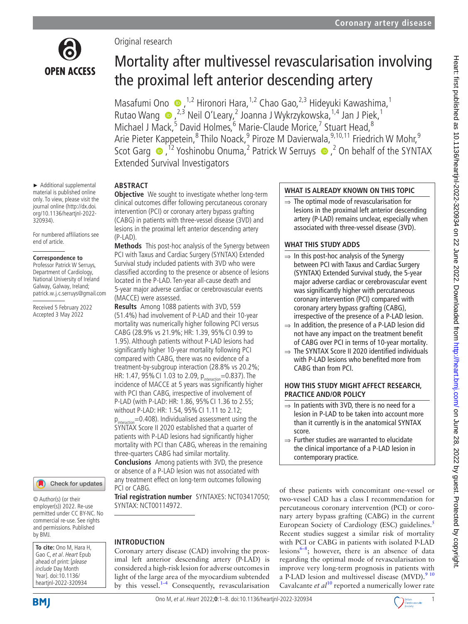

► Additional supplemental material is published online only. To view, please visit the journal online ([http://dx.doi.](http://dx.doi.org/10.1136/heartjnl-2022-320934) [org/10.1136/heartjnl-2022-](http://dx.doi.org/10.1136/heartjnl-2022-320934) [320934](http://dx.doi.org/10.1136/heartjnl-2022-320934)).

For numbered affiliations see end of article.

#### **Correspondence to**

Professor Patrick W Serruys, Department of Cardiology, National University of Ireland Galway, Galway, Ireland; patrick.w.j.c.serruys@gmail.com

Received 5 February 2022 Accepted 3 May 2022



© Author(s) (or their employer(s)) 2022. Re-use permitted under CC BY-NC. No commercial re-use. See rights and permissions. Published by BMJ.

**To cite:** Ono M, Hara H, Gao C, et al. Heart Epub ahead of print: [please include Day Month Year]. doi:10.1136/ heartjnl-2022-320934

# Mortality after multivessel revascularisation involving the proximal left anterior descending artery

MasafumiOno  $\bullet$ ,<sup>1,2</sup> Hironori Hara,<sup>1,2</sup> Chao Gao,<sup>2,3</sup> Hideyuki Kawashima,<sup>1</sup> RutaoWang  $\bigcirc$ ,  $^{2,3}$  Neil O'Leary, 2 Joanna J Wykrzykowska,  $^{1,4}$  Jan J Piek,  $^{1}$ Michael J Mack,<sup>5</sup> David Holmes,<sup>6</sup> Marie-Claude Morice,<sup>7</sup> Stuart Head,<sup>8</sup> Arie Pieter Kappetein,<sup>8</sup> Thilo Noack,<sup>9</sup> Piroze M Davierwala,<sup>9,10,11</sup> Friedrich W Mohr,<sup>9</sup> ScotGarg  $\bullet$ , <sup>12</sup> Yoshinobu Onuma, <sup>2</sup> Patrick W Serruys  $\bullet$ , <sup>2</sup> On behalf of the SYNTAX Extended Survival Investigators

# **ABSTRACT**

Original research

**Objective** We sought to investigate whether long-term clinical outcomes differ following percutaneous coronary intervention (PCI) or coronary artery bypass grafting (CABG) in patients with three-vessel disease (3VD) and lesions in the proximal left anterior descending artery (P-LAD).

**Methods** This post-hoc analysis of the Synergy between PCI with Taxus and Cardiac Surgery (SYNTAX) Extended Survival study included patients with 3VD who were classified according to the presence or absence of lesions located in the P-LAD. Ten-year all-cause death and 5-year major adverse cardiac or cerebrovascular events (MACCE) were assessed.

**Results** Among 1088 patients with 3VD, 559 (51.4%) had involvement of P-LAD and their 10-year mortality was numerically higher following PCI versus CABG (28.9% vs 21.9%; HR: 1.39, 95%CI 0.99 to 1.95). Although patients without P-LAD lesions had significantly higher 10-year mortality following PCI compared with CABG, there was no evidence of a treatment-by-subgroup interaction (28.8% vs 20.2%; HR: 1.47, 95% CI 1.03 to 2.09,  $p_{interaction} = 0.837$ ). The incidence of MACCE at 5 years was significantly higher with PCI than CABG, irrespective of involvement of P-LAD (with P-LAD: HR: 1.86, 95% CI 1.36 to 2.55; without P-LAD: HR: 1.54, 95% CI 1.11 to 2.12;

 $=0.408$ ). Individualised assessment using the SYNTAX Score II 2020 established that a quarter of patients with P-LAD lesions had significantly higher mortality with PCI than CABG, whereas in the remaining three-quarters CABG had similar mortality.

**Conclusions** Among patients with 3VD, the presence or absence of a P-LAD lesion was not associated with any treatment effect on long-term outcomes following PCI or CABG.

**Trial registration number** SYNTAXES: <NCT03417050>; SYNTAX:<NCT00114972>.

# **INTRODUCTION**

Coronary artery disease (CAD) involving the proximal left anterior descending artery (P-LAD) is considered a high-risk lesion for adverse outcomes in light of the large area of the myocardium subtended by this vessel.<sup>1–4</sup> Consequently, revascularisation

## **WHAT IS ALREADY KNOWN ON THIS TOPIC**

 $\Rightarrow$  The optimal mode of revascularisation for lesions in the proximal left anterior descending artery (P-LAD) remains unclear, especially when associated with three-vessel disease (3VD).

# **WHAT THIS STUDY ADDS**

- $\Rightarrow$  In this post-hoc analysis of the Synergy between PCI with Taxus and Cardiac Surgery (SYNTAX) Extended Survival study, the 5-year major adverse cardiac or cerebrovascular event was significantly higher with percutaneous coronary intervention (PCI) compared with coronary artery bypass grafting (CABG), irrespective of the presence of a P-LAD lesion.
- $\Rightarrow$  In addition, the presence of a P-LAD lesion did not have any impact on the treatment benefit of CABG over PCI in terms of 10-year mortality.
- $\Rightarrow$  The SYNTAX Score II 2020 identified individuals with P-LAD lesions who benefited more from CABG than from PCI.

# **HOW THIS STUDY MIGHT AFFECT RESEARCH, PRACTICE AND/OR POLICY**

- $\Rightarrow$  In patients with 3VD, there is no need for a lesion in P-LAD to be taken into account more than it currently is in the anatomical SYNTAX score.
- ⇒ Further studies are warranted to elucidate the clinical importance of a P-LAD lesion in contemporary practice.

of these patients with concomitant one-vessel or two-vessel CAD has a class I recommendation for percutaneous coronary intervention (PCI) or coronary artery bypass grafting (CABG) in the current European Society of Cardiology (ESC) guidelines.<sup>[5](#page-6-1)</sup> Recent studies suggest a similar risk of mortality with PCI or CABG in patients with isolated P-LAD lesions<sup>[6–8](#page-6-2)</sup>; however, there is an absence of data regarding the optimal mode of revascularisation to improve very long-term prognosis in patients with a P-LAD lesion and multivessel disease  $(MVD)$ .<sup>9 10</sup> Cavalcante *et al*<sup>10</sup> reported a numerically lower rate

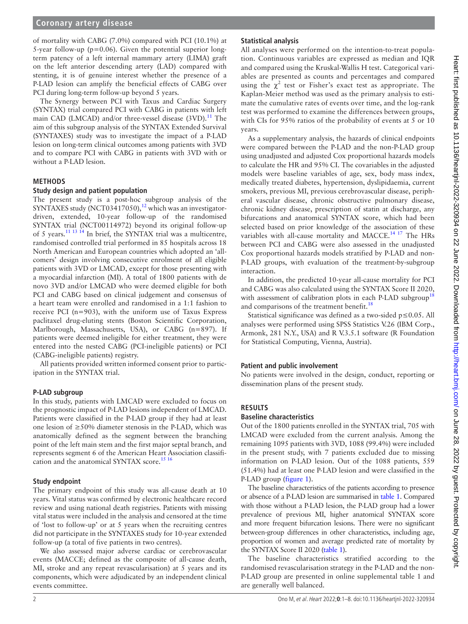## **Coronary artery disease**

of mortality with CABG (7.0%) compared with PCI (10.1%) at 5-year follow-up ( $p=0.06$ ). Given the potential superior longterm patency of a left internal mammary artery (LIMA) graft on the left anterior descending artery (LAD) compared with stenting, it is of genuine interest whether the presence of a P-LAD lesion can amplify the beneficial effects of CABG over PCI during long-term follow-up beyond 5 years.

The Synergy between PCI with Taxus and Cardiac Surgery (SYNTAX) trial compared PCI with CABG in patients with left main CAD (LMCAD) and/or three-vessel disease  $(3VD).<sup>11</sup>$  $(3VD).<sup>11</sup>$  $(3VD).<sup>11</sup>$  The aim of this subgroup analysis of the SYNTAX Extended Survival (SYNTAXES) study was to investigate the impact of a P-LAD lesion on long-term clinical outcomes among patients with 3VD and to compare PCI with CABG in patients with 3VD with or without a P-LAD lesion.

#### **METHODS**

#### **Study design and patient population**

The present study is a post-hoc subgroup analysis of the SYNTAXES study (NCT03417050),<sup>12</sup> which was an investigatordriven, extended, 10-year follow-up of the randomised SYNTAX trial (NCT00114972) beyond its original follow-up of 5 years[.11 13 14](#page-7-1) In brief, the SYNTAX trial was a multicentre, randomised controlled trial performed in 85 hospitals across 18 North American and European countries which adopted an 'allcomers' design involving consecutive enrolment of all eligible patients with 3VD or LMCAD, except for those presenting with a myocardial infarction (MI). A total of 1800 patients with de novo 3VD and/or LMCAD who were deemed eligible for both PCI and CABG based on clinical judgement and consensus of a heart team were enrolled and randomised in a 1:1 fashion to receive PCI (n=903), with the uniform use of Taxus Express paclitaxel drug-eluting stents (Boston Scientific Corporation, Marlborough, Massachusetts, USA), or CABG (n=897). If patients were deemed ineligible for either treatment, they were entered into the nested CABG (PCI-ineligible patients) or PCI (CABG-ineligible patients) registry.

All patients provided written informed consent prior to participation in the SYNTAX trial.

### **P-LAD subgroup**

In this study, patients with LMCAD were excluded to focus on the prognostic impact of P-LAD lesions independent of LMCAD. Patients were classified in the P-LAD group if they had at least one lesion of ≥50% diameter stenosis in the P-LAD, which was anatomically defined as the segment between the branching point of the left main stem and the first major septal branch, and represents segment 6 of the American Heart Association classifi-cation and the anatomical SYNTAX score.<sup>[15 16](#page-7-3)</sup>

#### **Study endpoint**

The primary endpoint of this study was all-cause death at 10 years. Vital status was confirmed by electronic healthcare record review and using national death registries. Patients with missing vital status were included in the analysis and censored at the time of 'lost to follow-up' or at 5 years when the recruiting centres did not participate in the SYNTAXES study for 10-year extended follow-up (a total of five patients in two centres).

We also assessed major adverse cardiac or cerebrovascular events (MACCE; defined as the composite of all-cause death, MI, stroke and any repeat revascularisation) at 5 years and its components, which were adjudicated by an independent clinical events committee.

## **Statistical analysis**

All analyses were performed on the intention-to-treat population. Continuous variables are expressed as median and IQR and compared using the Kruskal-Wallis H test. Categorical variables are presented as counts and percentages and compared using the  $\chi^2$  test or Fisher's exact test as appropriate. The Kaplan-Meier method was used as the primary analysis to estimate the cumulative rates of events over time, and the log-rank test was performed to examine the differences between groups, with CIs for 95% ratios of the probability of events at 5 or 10 years.

As a supplementary analysis, the hazards of clinical endpoints were compared between the P-LAD and the non-P-LAD group using unadjusted and adjusted Cox proportional hazards models to calculate the HR and 95% CI. The covariables in the adjusted models were baseline variables of age, sex, body mass index, medically treated diabetes, hypertension, dyslipidaemia, current smokers, previous MI, previous cerebrovascular disease, peripheral vascular disease, chronic obstructive pulmonary disease, chronic kidney disease, prescription of statin at discharge, any bifurcations and anatomical SYNTAX score, which had been selected based on prior knowledge of the association of these variables with all-cause mortality and MACCE.<sup>14 17</sup> The HRs between PCI and CABG were also assessed in the unadjusted Cox proportional hazards models stratified by P-LAD and non-P-LAD groups, with evaluation of the treatment-by-subgroup interaction.

In addition, the predicted 10-year all-cause mortality for PCI and CABG was also calculated using the SYNTAX Score II 2020, with assessment of calibration plots in each P-LAD subgroup<sup>[18](#page-7-5)</sup> and comparisons of the treatment benefit.<sup>[18](#page-7-5)</sup>

Statistical significance was defined as a two-sided p≤0.05. All analyses were performed using SPSS Statistics V.26 (IBM Corp., Armonk, 281 N.Y., USA) and R V.3.5.1 software (R Foundation for Statistical Computing, Vienna, Austria).

### **Patient and public involvement**

No patients were involved in the design, conduct, reporting or dissemination plans of the present study.

## **RESULTS**

#### **Baseline characteristics**

Out of the 1800 patients enrolled in the SYNTAX trial, 705 with LMCAD were excluded from the current analysis. Among the remaining 1095 patients with 3VD, 1088 (99.4%) were included in the present study, with 7 patients excluded due to missing information on P-LAD lesion. Out of the 1088 patients, 559 (51.4%) had at least one P-LAD lesion and were classified in the P-LAD group [\(figure](#page-2-0) 1).

The baseline characteristics of the patients according to presence or absence of a P-LAD lesion are summarised in [table](#page-2-1) 1. Compared with those without a P-LAD lesion, the P-LAD group had a lower prevalence of previous MI, higher anatomical SYNTAX score and more frequent bifurcation lesions. There were no significant between-group differences in other characteristics, including age, proportion of women and average predicted rate of mortality by the SYNTAX Score II 2020 [\(table](#page-2-1) 1).

The baseline characteristics stratified according to the randomised revascularisation strategy in the P-LAD and the non-P-LAD group are presented in [online supplemental table 1](https://dx.doi.org/10.1136/heartjnl-2022-320934) and are generally well balanced.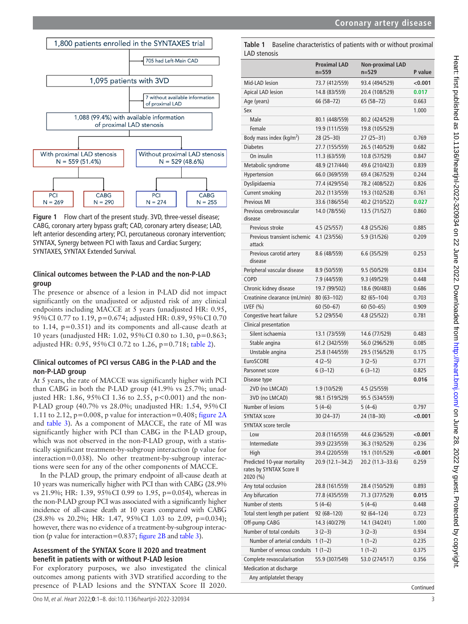

<span id="page-2-0"></span>**Figure 1** Flow chart of the present study. 3VD, three-vessel disease; CABG, coronary artery bypass graft; CAD, coronary artery disease; LAD, left anterior descending artery; PCI, percutaneous coronary intervention; SYNTAX, Synergy between PCI with Taxus and Cardiac Surgery; SYNTAXES, SYNTAX Extended Survival.

# **Clinical outcomes between the P-LAD and the non-P-LAD group**

The presence or absence of a lesion in P-LAD did not impact significantly on the unadjusted or adjusted risk of any clinical endpoints including MACCE at 5 years (unadjusted HR: 0.95, 95%CI 0.77 to 1.19, p=0.674; adjusted HR: 0.89, 95%CI 0.70 to 1.14, p=0.351) and its components and all-cause death at 10 years (unadjusted HR: 1.02, 95%CI 0.80 to 1.30, p=0.863; adjusted HR: 0.95, 95%CI 0.72 to 1.26, p=0.718; [table](#page-3-0) 2).

## **Clinical outcomes of PCI versus CABG in the P-LAD and the non-P-LAD group**

At 5 years, the rate of MACCE was significantly higher with PCI than CABG in both the P-LAD group (41.9% vs 25.7%; unadjusted HR: 1.86, 95% CI 1.36 to 2.55, p<0.001) and the non-P-LAD group (40.7% vs 28.0%; unadjusted HR: 1.54, 95%CI 1.11 to 2.12,  $p=0.008$ , p value for interaction=0.408; [figure](#page-4-0) 2A and [table](#page-5-0) 3). As a component of MACCE, the rate of MI was significantly higher with PCI than CABG in the P-LAD group, which was not observed in the non-P-LAD group, with a statistically significant treatment-by-subgroup interaction (p value for interaction=0.038). No other treatment-by-subgroup interactions were seen for any of the other components of MACCE.

In the P-LAD group, the primary endpoint of all-cause death at 10 years was numerically higher with PCI than with CABG (28.9% vs 21.9%; HR: 1.39, 95%CI 0.99 to 1.95, p=0.054), whereas in the non-P-LAD group PCI was associated with a significantly higher incidence of all-cause death at 10 years compared with CABG (28.8% vs 20.2%; HR: 1.47, 95%CI 1.03 to 2.09, p=0.034); however, there was no evidence of a treatment-by-subgroup interaction (p value for interaction=0.837; [figure](#page-4-0) 2B and [table](#page-5-0) 3).

## **Assessment of the SYNTAX Score II 2020 and treatment benefit in patients with or without P-LAD lesion**

For exploratory purposes, we also investigated the clinical outcomes among patients with 3VD stratified according to the presence of P-LAD lesions and the SYNTAX Score II 2020.

<span id="page-2-1"></span>**Table 1** Baseline characteristics of patients with or without proximal LAD stenosis

|                                                                     | <b>Proximal LAD</b><br>$n = 559$ | Non-proximal LAD<br>$n = 529$ | P value   |
|---------------------------------------------------------------------|----------------------------------|-------------------------------|-----------|
| Mid-LAD lesion                                                      | 73.7 (412/559)                   | 93.4 (494/529)                | < 0.001   |
| <b>Apical LAD lesion</b>                                            | 14.8 (83/559)                    | 20.4 (108/529)                | 0.017     |
| Age (years)                                                         | 66 (58-72)                       | 65 (58-72)                    | 0.663     |
| Sex                                                                 |                                  |                               | 1.000     |
| Male                                                                | 80.1 (448/559)                   | 80.2 (424/529)                |           |
| Female                                                              | 19.9 (111/559)                   | 19.8 (105/529)                |           |
| Body mass index ( $kg/m2$ )                                         | $28(25 - 30)$                    | 27 (25–31)                    | 0.769     |
| <b>Diabetes</b>                                                     | 27.7 (155/559)                   | 26.5 (140/529)                | 0.682     |
| On insulin                                                          | 11.3 (63/559)                    | 10.8 (57/529)                 | 0.847     |
| Metabolic syndrome                                                  | 48.9 (217/444)                   | 49.6 (210/423)                | 0.839     |
| Hypertension                                                        | 66.0 (369/559)                   | 69.4 (367/529)                | 0.244     |
| Dyslipidaemia                                                       | 77.4 (429/554)                   | 78.2 (408/522)                | 0.826     |
| Current smoking                                                     | 20.2 (113/559)                   | 19.3 (102/528)                | 0.761     |
| Previous MI                                                         | 33.6 (186/554)                   | 40.2 (210/522)                | 0.027     |
| Previous cerebrovascular<br>disease                                 | 14.0 (78/556)                    | 13.5 (71/527)                 | 0.860     |
| Previous stroke                                                     | 4.5(25/557)                      | 4.8 (25/526)                  | 0.885     |
| Previous transient ischemic<br>attack                               | 4.1 (23/556)                     | 5.9 (31/526)                  | 0.209     |
| Previous carotid artery<br>disease                                  | 8.6 (48/559)                     | 6.6 (35/529)                  | 0.253     |
| Peripheral vascular disease                                         | 8.9 (50/559)                     | 9.5 (50/529)                  | 0.834     |
| COPD                                                                | 7.9 (44/559)                     | 9.3 (49/529)                  | 0.448     |
| Chronic kidney disease                                              | 19.7 (99/502)                    | 18.6 (90/483)                 | 0.686     |
| Creatinine clearance (mL/min)                                       | $80(63 - 102)$                   | 82 (65-104)                   | 0.703     |
| LVEF $(% )$                                                         | $60(50-67)$                      | $60(50-65)$                   | 0.909     |
| Congestive heart failure                                            | 5.2 (29/554)                     | 4.8 (25/522)                  | 0.781     |
| Clinical presentation                                               |                                  |                               |           |
| Silent ischaemia                                                    | 13.1 (73/559)                    | 14.6 (77/529)                 | 0.483     |
| Stable angina                                                       | 61.2 (342/559)                   | 56.0 (296/529)                | 0.085     |
| Unstable angina                                                     | 25.8 (144/559)                   | 29.5 (156/529)                | 0.175     |
| <b>EuroSCORE</b>                                                    | $4(2-5)$                         | $3(2-5)$                      | 0.771     |
| Parsonnet score                                                     | $6(3-12)$                        | $6(3-12)$                     | 0.825     |
| Disease type                                                        |                                  |                               | 0.016     |
| 2VD (no LMCAD)                                                      | 1.9 (10/529)                     | 4.5 (25/559)                  |           |
| 3VD (no LMCAD)                                                      | 98.1 (519/529)                   | 95.5 (534/559)                |           |
| Number of lesions                                                   | $5(4-6)$                         | $5(4-6)$                      | 0.797     |
| <b>SYNTAX score</b>                                                 | $30(24 - 37)$                    | 24 (18-30)                    | < 0.001   |
| <b>SYNTAX score tercile</b>                                         |                                  |                               |           |
| Low                                                                 | 20.8 (116/559)                   | 44.6 (236/529)                | $<$ 0.001 |
| Intermediate                                                        | 39.9 (223/559)                   | 36.3 (192/529)                | 0.236     |
| High                                                                | 39.4 (220/559)                   | 19.1 (101/529)                | $<$ 0.001 |
| Predicted 10-year mortality<br>rates by SYNTAX Score II<br>2020 (%) | 20.9 (12.1-34.2)                 | 20.2 (11.3-33.6)              | 0.259     |
| Any total occlusion                                                 | 28.8 (161/559)                   | 28.4 (150/529)                | 0.893     |
| Any bifurcation                                                     | 77.8 (435/559)                   | 71.3 (377/529)                | 0.015     |
| Number of stents                                                    | $5(4-6)$                         | $5(4-6)$                      | 0.448     |
| Total stent length per patient                                      | 92 (68–120)                      | 92 (64–124)                   | 0.723     |
| Off-pump CABG                                                       | 14.3 (40/279)                    | 14.1 (34/241)                 | 1.000     |
| Number of total conduits                                            | $3(2-3)$                         | $3(2-3)$                      | 0.934     |
| Number of arterial conduits                                         | $1(1-2)$                         | $1(1-2)$                      | 0.235     |
| Number of venous conduits                                           | $1(1-2)$                         | $1(1-2)$                      | 0.375     |
| Complete revascularisation                                          | 55.9 (307/549)                   | 53.0 (274/517)                | 0.356     |
| Medication at discharge                                             |                                  |                               |           |
| Any antiplatelet therapy                                            |                                  |                               |           |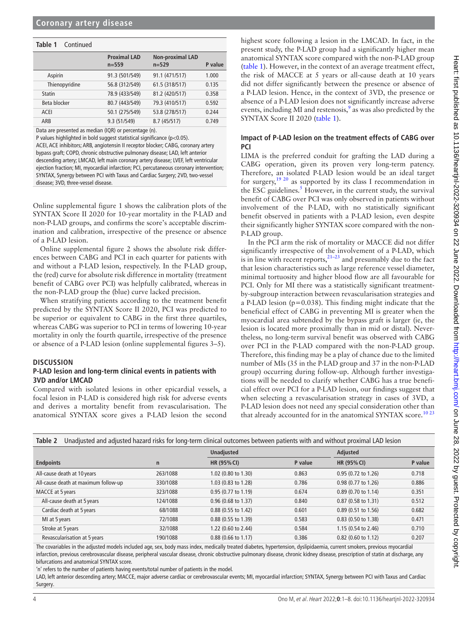### **Table 1** Continued

|                | <b>Proximal LAD</b><br>$n = 559$ | <b>Non-proximal LAD</b><br>$n = 529$ | P value |
|----------------|----------------------------------|--------------------------------------|---------|
| Aspirin        | 91.3 (501/549)                   | 91.1 (471/517)                       | 1.000   |
| Thienopyridine | 56.8 (312/549)                   | 61.5 (318/517)                       | 0.135   |
| <b>Statin</b>  | 78.9 (433/549)                   | 81.2 (420/517)                       | 0.358   |
| Beta blocker   | 80.7 (443/549)                   | 79.3 (410/517)                       | 0.592   |
| <b>ACEI</b>    | 50.1 (275/549)                   | 53.8 (278/517)                       | 0.244   |
| ARB            | 9.3 (51/549)                     | 8.7 (45/517)                         | 0.749   |

Data are presented as median (IQR) or percentage (n).

P values highlighted in bold suggest statistical significance (p<0.05). ACEI, ACE inhibitors; ARB, angiotensin II receptor blocker; CABG, coronary artery bypass graft; COPD, chronic obstructive pulmonary disease; LAD, left anterior descending artery; LMCAD, left main coronary artery disease; LVEF, left ventricular ejection fraction; MI, myocardial infarction; PCI, percutaneous coronary intervention; SYNTAX, Synergy between PCI with Taxus and Cardiac Surgery; 2VD, two-vessel disease; 3VD, three-vessel disease.

[Online supplemental figure 1](https://dx.doi.org/10.1136/heartjnl-2022-320934) shows the calibration plots of the SYNTAX Score II 2020 for 10-year mortality in the P-LAD and non-P-LAD groups, and confirms the score's acceptable discrimination and calibration, irrespective of the presence or absence of a P-LAD lesion.

[Online supplemental figure 2](https://dx.doi.org/10.1136/heartjnl-2022-320934) shows the absolute risk differences between CABG and PCI in each quarter for patients with and without a P-LAD lesion, respectively. In the P-LAD group, the (red) curve for absolute risk difference in mortality (treatment benefit of CABG over PCI) was helpfully calibrated, whereas in the non-P-LAD group the (blue) curve lacked precision.

When stratifying patients according to the treatment benefit predicted by the SYNTAX Score II 2020, PCI was predicted to be superior or equivalent to CABG in the first three quartiles, whereas CABG was superior to PCI in terms of lowering 10-year mortality in only the fourth quartile, irrespective of the presence or absence of a P-LAD lesion [\(online supplemental figures 3–5\)](https://dx.doi.org/10.1136/heartjnl-2022-320934).

### **DISCUSSION**

## **P-LAD lesion and long-term clinical events in patients with 3VD and/or LMCAD**

Compared with isolated lesions in other epicardial vessels, a focal lesion in P-LAD is considered high risk for adverse events and derives a mortality benefit from revascularisation. The anatomical SYNTAX score gives a P-LAD lesion the second

highest score following a lesion in the LMCAD. In fact, in the present study, the P-LAD group had a significantly higher mean anatomical SYNTAX score compared with the non-P-LAD group ([table](#page-2-1) 1). However, in the context of an average treatment effect, the risk of MACCE at 5 years or all-cause death at 10 years did not differ significantly between the presence or absence of a P-LAD lesion. Hence, in the context of 3VD, the presence or absence of a P-LAD lesion does not significantly increase adverse events, including MI and restenosis,<sup>9</sup> as was also predicted by the SYNTAX Score II 2020 [\(table](#page-2-1) 1).

## **Impact of P-LAD lesion on the treatment effects of CABG over PCI**

LIMA is the preferred conduit for grafting the LAD during a CABG operation, given its proven very long-term patency. Therefore, an isolated P-LAD lesion would be an ideal target for surgery,<sup>[19 20](#page-7-6)</sup> as supported by its class I recommendation in the ESC guidelines. $<sup>5</sup>$  $<sup>5</sup>$  $<sup>5</sup>$  However, in the current study, the survival</sup> benefit of CABG over PCI was only observed in patients without involvement of the P-LAD, with no statistically significant benefit observed in patients with a P-LAD lesion, even despite their significantly higher SYNTAX score compared with the non-P-LAD group.

In the PCI arm the risk of mortality or MACCE did not differ significantly irrespective of the involvement of a P-LAD, which is in line with recent reports, $^{21-23}$  and presumably due to the fact that lesion characteristics such as large reference vessel diameter, minimal tortuosity and higher blood flow are all favourable for PCI. Only for MI there was a statistically significant treatmentby-subgroup interaction between revascularisation strategies and a P-LAD lesion ( $p=0.038$ ). This finding might indicate that the beneficial effect of CABG in preventing MI is greater when the myocardial area subtended by the bypass graft is larger (ie, the lesion is located more proximally than in mid or distal). Nevertheless, no long-term survival benefit was observed with CABG over PCI in the P-LAD compared with the non-P-LAD group. Therefore, this finding may be a play of chance due to the limited number of MIs (35 in the P-LAD group and 37 in the non-P-LAD group) occurring during follow-up. Although further investigations will be needed to clarify whether CABG has a true beneficial effect over PCI for a P-LAD lesion, our findings suggest that when selecting a revascularisation strategy in cases of 3VD, a P-LAD lesion does not need any special consideration other than that already accounted for in the anatomical SYNTAX score.<sup>1023</sup>

<span id="page-3-0"></span>

| Unadjusted and adjusted hazard risks for long-term clinical outcomes between patients with and without proximal LAD lesion<br>Table 2 |              |                               |         |                     |         |  |
|---------------------------------------------------------------------------------------------------------------------------------------|--------------|-------------------------------|---------|---------------------|---------|--|
|                                                                                                                                       |              | <b>Unadjusted</b>             |         | Adjusted            |         |  |
| <b>Endpoints</b>                                                                                                                      | $\mathsf{n}$ | HR (95% CI)                   | P value | HR (95% CI)         | P value |  |
| All-cause death at 10 years                                                                                                           | 263/1088     | 1.02 (0.80 to 1.30)           | 0.863   | 0.95 (0.72 to 1.26) | 0.718   |  |
| All-cause death at maximum follow-up                                                                                                  | 330/1088     | 1.03 (0.83 to 1.28)           | 0.786   | 0.98 (0.77 to 1.26) | 0.886   |  |
| MACCE at 5 years                                                                                                                      | 323/1088     | $0.95(0.77)$ to 1.19)         | 0.674   | 0.89 (0.70 to 1.14) | 0.351   |  |
| All-cause death at 5 years                                                                                                            | 124/1088     | 0.96 (0.68 to 1.37)           | 0.840   | 0.87 (0.58 to 1.31) | 0.512   |  |
| Cardiac death at 5 years                                                                                                              | 68/1088      | 0.88 (0.55 to 1.42)           | 0.601   | 0.89 (0.51 to 1.56) | 0.682   |  |
| MI at 5 years                                                                                                                         | 72/1088      | $0.88(0.55$ to $1.39$ )       | 0.583   | 0.83 (0.50 to 1.38) | 0.471   |  |
| Stroke at 5 years                                                                                                                     | 32/1088      | 1.22 (0.60 to 2.44)           | 0.584   | 1.15 (0.54 to 2.46) | 0.710   |  |
| Revascularisation at 5 years                                                                                                          | 190/1088     | $0.88(0.66 \text{ to } 1.17)$ | 0.386   | 0.82 (0.60 to 1.12) | 0.207   |  |

The covariables in the adjusted models included age, sex, body mass index, medically treated diabetes, hypertension, dyslipidaemia, current smokers, previous myocardial infarction, previous cerebrovascular disease, peripheral vascular disease, chronic obstructive pulmonary disease, chronic kidney disease, prescription of statin at discharge, any bifurcations and anatomical SYNTAX score.

'n' refers to the number of patients having events/total number of patients in the model.

LAD, left anterior descending artery; MACCE, major adverse cardiac or cerebrovascular events; MI, myocardial infarction; SYNTAX, Synergy between PCI with Taxus and Cardiac Surgery.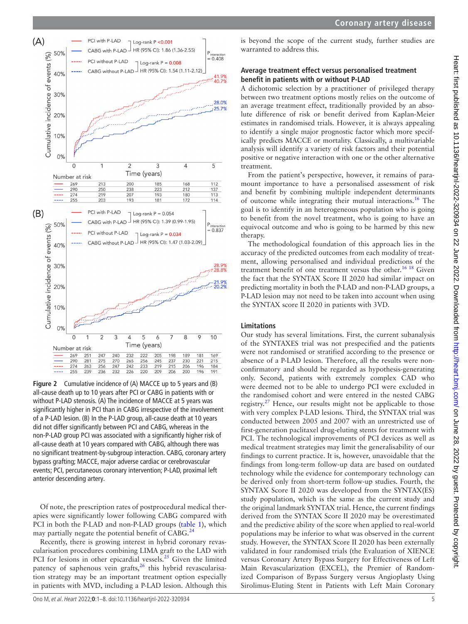

<span id="page-4-0"></span>**Figure 2** Cumulative incidence of (A) MACCE up to 5 years and (B) all-cause death up to 10 years after PCI or CABG in patients with or without P-LAD stenosis. (A) The incidence of MACCE at 5 years was significantly higher in PCI than in CABG irrespective of the involvement of a P-LAD lesion. (B) In the P-LAD group, all-cause death at 10 years did not differ significantly between PCI and CABG, whereas in the non-P-LAD group PCI was associated with a significantly higher risk of all-cause death at 10 years compared with CABG, although there was no significant treatment-by-subgroup interaction. CABG, coronary artery bypass grafting; MACCE, major adverse cardiac or cerebrovascular events; PCI, percutaneous coronary intervention; P-LAD, proximal left anterior descending artery.

Of note, the prescription rates of postprocedural medical therapies were significantly lower following CABG compared with PCI in both the P-LAD and non-P-LAD groups [\(table](#page-2-1) 1), which may partially negate the potential benefit of CABG.<sup>2</sup>

Recently, there is growing interest in hybrid coronary revascularisation procedures combining LIMA graft to the LAD with PCI for lesions in other epicardial vessels.<sup>25</sup> Given the limited patency of saphenous vein grafts, $26$  this hybrid revascularisation strategy may be an important treatment option especially in patients with MVD, including a P-LAD lesion. Although this is beyond the scope of the current study, further studies are warranted to address this.

## **Average treatment effect versus personalised treatment benefit in patients with or without P-LAD**

A dichotomic selection by a practitioner of privileged therapy between two treatment options mostly relies on the outcome of an average treatment effect, traditionally provided by an absolute difference of risk or benefit derived from Kaplan-Meier estimates in randomised trials. However, it is always appealing to identify a single major prognostic factor which more specifically predicts MACCE or mortality. Classically, a multivariable analysis will identify a variety of risk factors and their potential positive or negative interaction with one or the other alternative treatment.

From the patient's perspective, however, it remains of paramount importance to have a personalised assessment of risk and benefit by combining multiple independent determinants of outcome while integrating their mutual interactions.<sup>16</sup> The goal is to identify in an heterogeneous population who is going to benefit from the novel treatment, who is going to have an equivocal outcome and who is going to be harmed by this new therapy.

The methodological foundation of this approach lies in the accuracy of the predicted outcomes from each modality of treatment, allowing personalised and individual predictions of the treatment benefit of one treatment versus the other.<sup>16 18</sup> Given the fact that the SYNTAX Score II 2020 had similar impact on predicting mortality in both the P-LAD and non-P-LAD groups, a P-LAD lesion may not need to be taken into account when using the SYNTAX score II 2020 in patients with 3VD.

# **Limitations**

Our study has several limitations. First, the current subanalysis of the SYNTAXES trial was not prespecified and the patients were not randomised or stratified according to the presence or absence of a P-LAD lesion. Therefore, all the results were nonconfirmatory and should be regarded as hypothesis-generating only. Second, patients with extremely complex CAD who were deemed not to be able to undergo PCI were excluded in the randomised cohort and were entered in the nested CABG registry.<sup>27</sup> Hence, our results might not be applicable to those with very complex P-LAD lesions. Third, the SYNTAX trial was conducted between 2005 and 2007 with an unrestricted use of first-generation paclitaxel drug-eluting stents for treatment with PCI. The technological improvements of PCI devices as well as medical treatment strategies may limit the generalisability of our findings to current practice. It is, however, unavoidable that the findings from long-term follow-up data are based on outdated technology while the evidence for contemporary technology can be derived only from short-term follow-up studies. Fourth, the SYNTAX Score II 2020 was developed from the SYNTAX(ES) study population, which is the same as the current study and the original landmark SYNTAX trial. Hence, the current findings derived from the SYNTAX Score II 2020 may be overestimated and the predictive ability of the score when applied to real-world populations may be inferior to what was observed in the current study. However, the SYNTAX Score II 2020 has been externally validated in four randomised trials (the Evaluation of XIENCE versus Coronary Artery Bypass Surgery for Effectiveness of Left Main Revascularization (EXCEL), the Premier of Randomized Comparison of Bypass Surgery versus Angioplasty Using Sirolimus-Eluting Stent in Patients with Left Main Coronary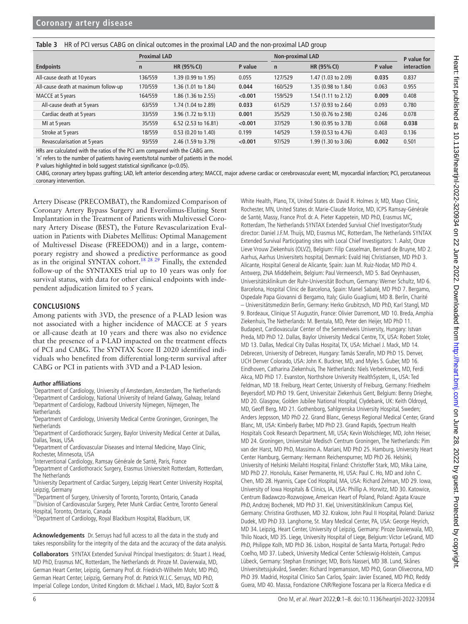<span id="page-5-0"></span>**Table 3** HR of PCI versus CABG on clinical outcomes in the proximal LAD and the non-proximal LAD group

|                                      |              | <b>Proximal LAD</b>  |         |              | <b>Non-proximal LAD</b> |         |                            |
|--------------------------------------|--------------|----------------------|---------|--------------|-------------------------|---------|----------------------------|
| <b>Endpoints</b>                     | $\mathsf{n}$ | HR (95% CI)          | P value | $\mathsf{n}$ | HR (95% CI)             | P value | P value for<br>interaction |
| All-cause death at 10 years          | 136/559      | 1.39 (0.99 to 1.95)  | 0.055   | 127/529      | 1.47 (1.03 to 2.09)     | 0.035   | 0.837                      |
| All-cause death at maximum follow-up | 170/559      | 1.36 (1.01 to 1.84)  | 0.044   | 160/529      | 1.35 (0.98 to 1.84)     | 0.063   | 0.955                      |
| MACCE at 5 years                     | 164/559      | 1.86 (1.36 to 2.55)  | < 0.001 | 159/529      | 1.54 (1.11 to 2.12)     | 0.009   | 0.408                      |
| All-cause death at 5 years           | 63/559       | 1.74 (1.04 to 2.89)  | 0.033   | 61/529       | 1.57 (0.93 to 2.64)     | 0.093   | 0.780                      |
| Cardiac death at 5 years             | 33/559       | 3.96 (1.72 to 9.13)  | 0.001   | 35/529       | 1.50 (0.76 to 2.98)     | 0.246   | 0.078                      |
| MI at 5 years                        | 35/559       | 6.52 (2.53 to 16.81) | < 0.001 | 37/529       | 1.90 (0.95 to 3.78)     | 0.068   | 0.038                      |
| Stroke at 5 years                    | 18/559       | 0.53 (0.20 to 1.40)  | 0.199   | 14/529       | 1.59 (0.53 to 4.76)     | 0.403   | 0.136                      |
| Revascularisation at 5 years         | 93/559       | 2.46 (1.59 to 3.79)  | < 0.001 | 97/529       | 1.99 (1.30 to 3.06)     | 0.002   | 0.501                      |

HRs are calculated with the ratios of the PCI arm compared with the CABG arm.

'n' refers to the number of patients having events/total number of patients in the model.

P values highlighted in bold suggest statistical significance (p<0.05).

CABG, coronary artery bypass grafting; LAD, left anterior descending artery; MACCE, major adverse cardiac or cerebrovascular event; MI, myocardial infarction; PCI, percutaneous coronary intervention.

Artery Disease (PRECOMBAT), the Randomized Comparison of Coronary Artery Bypass Surgery and Everolimus-Eluting Stent Implantation in the Treatment of Patients with Multivessel Coronary Artery Disease (BEST), the Future Revascularization Evaluation in Patients with Diabetes Mellitus: Optimal Management of Multivessel Disease (FREEDOM)) and in a large, contemporary registry and showed a predictive performance as good as in the original SYNTAX cohort.<sup>18 28 29</sup> Finally, the extended follow-up of the SYNTAXES trial up to 10 years was only for survival status, with data for other clinical endpoints with independent adjudication limited to 5 years.

## **CONCLUSIONS**

Among patients with 3VD, the presence of a P-LAD lesion was not associated with a higher incidence of MACCE at 5 years or all-cause death at 10 years and there was also no evidence that the presence of a P-LAD impacted on the treatment effects of PCI and CABG. The SYNTAX Score II 2020 identified individuals who benefited from differential long-term survival after CABG or PCI in patients with 3VD and a P-LAD lesion.

#### **Author affiliations**

<sup>1</sup>Department of Cardiology, University of Amsterdam, Amsterdam, The Netherlands <sup>2</sup>Department of Cardiology, National University of Ireland Galway, Galway, Ireland <sup>3</sup>Department of Cardiology, Radboud University Nijmegen, Nijmegen, The **Netherlands** 

4 Department of Cardiology, University Medical Centre Groningen, Groningen, The **Netherlands** 

5 Department of Cardiothoracic Surgery, Baylor University Medical Center at Dallas, Dallas, Texas, USA

<sup>6</sup>Department of Cardiovascular Diseases and Internal Medicine, Mayo Clinic, Rochester, Minnesota, USA

<sup>7</sup>Interventional Cardiology, Ramsay Générale de Santé, Paris, France

<sup>8</sup>Department of Cardiothoracic Surgery, Erasmus Universiteit Rotterdam, Rotterdam, The Netherlands

<sup>9</sup>University Department of Cardiac Surgery, Leipzig Heart Center University Hospital, Leipzig, Germany

<sup>10</sup>Department of Surgery, University of Toronto, Toronto, Ontario, Canada

<sup>11</sup>Division of Cardiovascular Surgery, Peter Munk Cardiac Centre, Toronto General Hospital, Toronto, Ontario, Canada

<sup>12</sup>Department of Cardiology, Royal Blackburn Hospital, Blackburn, UK

**Acknowledgements** Dr. Serruys had full access to all the data in the study and takes responsibility for the integrity of the data and the accuracy of the data analysis.

**Collaborators** SYNTAX Extended Survival Principal Investigators: dr. Stuart J. Head, MD PhD, Erasmus MC, Rotterdam, The Netherlands dr. Piroze M. Davierwala, MD, German Heart Center, Leipzig, Germany Prof. dr. Friedrich-Wilhelm Mohr, MD PhD, German Heart Center, Leipzig, Germany Prof. dr. Patrick W.J.C. Serruys, MD PhD, Imperial College London, United Kingdom dr. Michael J. Mack, MD, Baylor Scott &

White Health, Plano, TX, United States dr. David R. Holmes Jr, MD, Mayo Clinic, Rochester, MN, United States dr. Marie-Claude Morice, MD, ICPS Ramsay-Générale de Santé, Massy, France Prof. dr. A. Pieter Kappetein, MD PhD, Erasmus MC, Rotterdam, The Netherlands SYNTAX Extended Survival Chief Investigator/Study director: Daniel J.F.M. Thuijs, MD, Erasmus MC, Rotterdam, The Netherlands SYNTAX Extended Survival Participating sites with Local Chief Investigators: 1. Aalst, Onze Lieve Vrouw Ziekenhuis (OLVZ), Belgium: Filip Casselman, Bernard de Bruyne, MD 2. Aarhus, Aarhus Universitets hospital, Denmark: Evald Høj Christiansen, MD PhD 3. Alicante, Hospital General de Alicante, Spain: Juan M. Ruiz-Nodar, MD PhD 4. Antwerp, ZNA Middelheim, Belgium: Paul Vermeersch, MD 5. Bad Oeynhausen, Universitätsklinikum der Ruhr-Universität Bochum, Germany: Werner Schultz, MD 6. Barcelona, Hospital Clínic de Barcelona, Spain: Manel Sabaté, MD PhD 7. Bergamo, Ospedale Papa Giovanni di Bergamo, Italy; Giulio Guagliumi, MD 8. Berlin, Charité – Universitätsmedizin Berlin, Germany: Herko Grubitzsch, MD PhD, Karl Stangl, MD 9. Bordeaux, Clinique ST Augustin, France: Olivier Darremont, MD 10. Breda, Amphia Ziekenhuis, The Netherlands: M. Bentala, MD, Peter den Heijer, MD PhD 11. Budapest, Cardiovascular Center of the Semmelweis University, Hungary: Istvan Preda, MD PhD 12. Dallas, Baylor University Medical Centre, TX, USA: Robert Stoler, MD 13. Dallas, Medical City Dallas Hospital, TX, USA: Michael J. Mack, MD 14. Debrecen, University of Debrecen, Hungary: Tamás Szerafin, MD PhD 15. Denver, UCH Denver Colorado, USA: John K. Buckner, MD, and Myles S. Guber, MD 16. Eindhoven, Catharina Ziekenhuis, The Netherlands: Niels Verberkmoes, MD, Ferdi Akca, MD PhD 17. Evanston, Northshore University HealthSystem, IL, USA: Ted Feldman, MD 18. Freiburg, Heart Center, University of Freiburg, Germany: Friedhelm Beyersdorf, MD PhD 19. Gent, Universitair Ziekenhuis Gent, Belgium: Benny Drieghe, MD 20. Glasgow, Golden Jubilee National Hospital, Clydebank, UK: Keith Oldroyd, MD, Geoff Berg, MD 21. Gothenborg, Sahlgrenska University Hospital, Sweden; Anders Jeppsson, MD PhD 22. Grand Blanc, Genesys Regional Medical Center, Grand Blanc, MI, USA: Kimberly Barber, MD PhD 23. Grand Rapids, Spectrum Health Hospitals Cook Research Department, MI, USA; Kevin Wolschleger, MD, John Heiser, MD 24. Groningen, Universitair Medisch Centrum Groningen, The Netherlands: Pim van der Harst, MD PhD, Massimo A. Mariani, MD PhD 25. Hamburg, University Heart Center Hamburg, Germany: Hermann Reichenspurner, MD PhD 26. Helsinki, University of Helsinki Meilahti Hospital, Finland: Christoffer Stark, MD, Mika Laine, MD PhD 27. Honolulu, Kaiser Permanente, HI, USA: Paul C. Ho, MD and John C. Chen, MD 28. Hyannis, Cape Cod Hospital, MA, USA: Richard Zelman, MD 29. Iowa, University of Iowa Hospitals & Clinics, IA, USA: Phillip A. Horwitz, MD 30. Katowice, Centrum Badawczo-Rozwojowe, American Heart of Poland, Poland: Agata Krauze PhD, Andrzej Bochenek, MD PhD 31. Kiel, Universitätsklinikum Campus Kiel, Germany: Christina Grothusen, MD 32. Krakow, John Paul II Hospital, Poland: Dariusz Dudek, MD PhD 33. Langhorne, St. Mary Medical Center, PA, USA: George Heyrich, MD 34. Leipzig, Heart Center, University of Leipzig, Germany: Piroze Davierwala, MD, Thilo Noack, MD 35. Liege, University Hospital of Liege, Belgium: Victor LeGrand, MD PhD, Philippe Kolh, MD PhD 36. Lisbon, Hospital de Santa Marta, Portugal: Pedro Coelho, MD 37. Lubeck, University Medical Center Schleswig-Holstein, Campus Lübeck, Germany: Stephan Ensminger, MD, Boris Nasseri, MD 38. Lund, Skånes Universitetssjukvård, Sweden: Richard Ingemansson, MD PhD, Goran Olivecrona, MD PhD 39. Madrid, Hospital Clinico San Carlos, Spain: Javier Escaned, MD PhD, Reddy Guera, MD 40. Massa, Fondazione CNR/Regione Toscana per la Ricerca Medica e di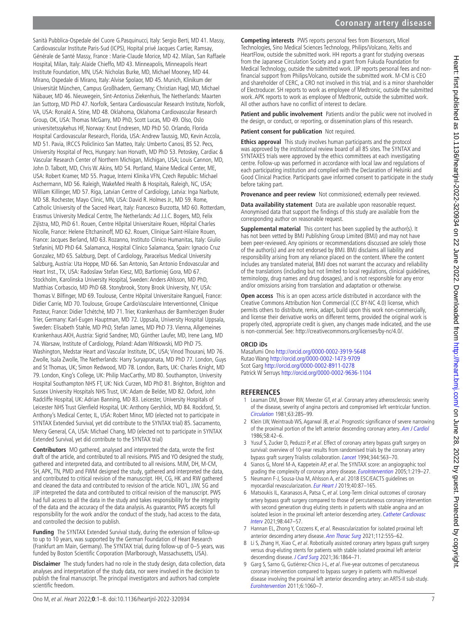Sanità Pubblica-Ospedale del Cuore G.Pasquinucci, Italy: Sergio Berti, MD 41. Massy, Cardiovascular Institute Paris-Sud (ICPS), Hopital privé Jacques Cartier, Ramsay, Générale de Santé Massy, France : Marie-Claude Morice, MD 42. Milan, San Raffaele Hospital, Milan, Italy: Alaide Chieffo, MD 43. Minneapolis, Minneapolis Heart Institute Foundation, MN, USA: Nicholas Burke, MD, Michael Mooney, MD 44. Mirano, Ospedale di Mirano, Italy: Alvise Spolaor, MD 45. Munich, Klinikum der Universität München, Campus Großhadern, Germany; Christian Hagl, MD, Michael Näbauer, MD 46. Nieuwegein, Sint-Antonius Ziekenhuis, The Netherlands: Maarten Jan Suttorp, MD PhD 47. Norfolk, Sentara Cardiovascular Research Institute, Norfolk, VA, USA: Ronald A. Stine, MD 48. Oklahoma, Oklahoma Cardiovascular Research Group, OK, USA: Thomas McGarry, MD PhD, Scott Lucas, MD 49. Olso, Oslo universitetssykehus HF, Norway: Knut Endresen, MD PhD 50. Orlando, Florida Hospital Cardiovascular Research, Florida, USA: Andrew Taussig, MD, Kevin Accola, MD 51. Pavia, IRCCS Policlinico San Matteo, Italy: Umberto Canosi, BS 52. Pecs, University Hospital of Pecs, Hungary: Ivan Horvath, MD PhD 53. Petoskey, Cardiac & Vascular Research Center of Northern Michigan, Michigan, USA; Louis Cannon, MD, John D. Talbott, MD, Chris W. Akins, MD 54. Portland, Maine Medical Center, ME, USA: Robert Kramer, MD 55. Prague, Interni Klinika VFN, Czech Republic: Michael Aschermann, MD 56. Raleigh, WakeMed Health & Hospitals, Raleigh, NC, USA; William Killinger, MD 57, Riga, Latvian Centre of Cardiology, Latvia: Inga Narbute, MD 58. Rochester, Mayo Clinic, MN, USA: David R. Holmes Jr., MD 59. Rome, Catholic University of the Sacred Heart, Italy: Francesco Burzotta, MD 60. Rotterdam, Erasmus University Medical Centre, The Netherlands: Ad J.J.C. Bogers, MD, Felix Zijlstra, MD, PhD 61. Rouen, Centre Hôpital Universitaire Rouen, Hôpital Charles Nicolle, France: Helene Eltchaninoff, MD 62. Rouen, Clinique Saint-Hilaire Rouen, France: Jacques Berland, MD 63. Rozanno, Instituto Clinico Humanitas, Italy: Giulio Stefanini, MD PhD 64. Salamanca, Hospital Clinico Salamanca, Spain: Ignacio Cruz Gonzalez, MD 65. Salzburg, Dept. of Cardiology, Paracelsus Medical University Salzburg, Austria: Uta Hoppe, MD 66. San Antonio, San Antonio Endovascular and Heart Inst., TX, USA: Radoslaw Stefan Kiesz, MD, Bartlomiej Gora, MD 67. Stockholm, Karolinska University Hospital, Sweden: Anders Ahlsson, MD PhD, Matthias Corbascio, MD PhD 68. Stonybrook, Stony Brook University, NY, USA: Thomas V. Bilfinger, MD 69. Toulouse, Centre Hôpital Universitaire Rangueil, France: Didier Carrie, MD 70. Toulouse, Groupe CardioVasculaire Interventionnel, Clinique Pasteur, France: Didier Tchétché, MD 71. Trier, Krankenhaus der Barmherzigen Bruder Trier, Germany: Karl-Eugen Hauptman, MD 72. Uppsala, University Hospital Uppsala, Sweden: Elisabeth Stahle, MD PhD, Stefan James, MD PhD 73. Vienna, Allgemeines Krankenhaus AKH, Austria: Sigrid Sandner, MD, Günther Laufer, MD, Irene Lang, MD 74. Warsaw, Institute of Cardiology, Poland: Adam Witkowski, MD PhD 75. Washington, Medstar Heart and Vascular Institute, DC, USA; Vinod Thourani, MD 76. Zwolle, Isala Zwolle, The Netherlands: Harry Suryapranata, MD PhD 77. London, Guys and St Thomas, UK; Simon Redwood, MD 78. London, Barts, UK: Charles Knight, MD 79. London, King's College, UK: Philip MacCarthy, MD 80. Southampton, University Hospital Southampton NHS FT, UK: Nick Curzen, MD PhD 81. Brighton, Brighton and Sussex University Hospitals NHS Trust, UK: Adam de Belder, MD 82. Oxford, John Radcliffe Hospital, UK: Adrian Banning, MD 83. Leicester, University Hospitals of Leicester NHS Trust Glenfield Hospital, UK: Anthony Gershlick, MD 84. Rockford, St. Anthony's Medical Center, IL, USA: Robert Minor, MD (elected not to participate in SYNTAX Extended Survival, yet did contribute to the SYNTAX trial) 85. Sacramento, Mercy General, CA, USA: Michael Chang, MD (elected not to participate in SYNTAX Extended Survival, yet did contribute to the SYNTAX trial)

**Contributors** MO gathered, analysed and interpreted the data, wrote the first draft of the article, and contributed to all revisions. PWS and YO designed the study, gathered and interpreted data, and contributed to all revisions. MJM, DH, M-CM, SH, APK, TN, PMD and FWM designed the study, gathered and interpreted the data, and contributed to critical revision of the manuscript. HH, CG, HK and RW gathered and cleaned the data and contributed to revision of the article. NO'L, JJW, SG and JJP interpreted the data and contributed to critical revision of the manuscript. PWS had full access to all the data in the study and takes responsibility for the integrity of the data and the accuracy of the data analysis. As guarantor, PWS accepts full responsibility for the work and/or the conduct of the study, had access to the data, and controlled the decision to publish.

**Funding** The SYNTAX Extended Survival study, during the extension of follow-up to up to 10 years, was supported by the German Foundation of Heart Research (Frankfurt am Main, Germany). The SYNTAX trial, during follow-up of 0–5 years, was funded by Boston Scientific Corporation (Marlborough, Massachusetts, USA).

**Disclaimer** The study funders had no role in the study design, data collection, data analyses and interpretation of the study data, nor were involved in the decision to publish the final manuscript. The principal investigators and authors had complete scientific freedom.

**Patient and public involvement** Patients and/or the public were not involved in the design, or conduct, or reporting, or dissemination plans of this research.

# **Patient consent for publication** Not required.

**Ethics approval** This study involves human participants and the protocol was approved by the institutional review board of all 85 sites. The SYNTAX and SYNTAXES trials were approved by the ethics committees at each investigating centre. Follow-up was performed in accordance with local law and regulations of each participating institution and complied with the Declaration of Helsinki and Good Clinical Practice. Participants gave informed consent to participate in the study before taking part.

**Provenance and peer review** Not commissioned; externally peer reviewed.

**Data availability statement** Data are available upon reasonable request. Anonymised data that support the findings of this study are available from the corresponding author on reasonable request.

**Supplemental material** This content has been supplied by the author(s). It has not been vetted by BMJ Publishing Group Limited (BMJ) and may not have been peer-reviewed. Any opinions or recommendations discussed are solely those of the author(s) and are not endorsed by BMJ. BMJ disclaims all liability and responsibility arising from any reliance placed on the content. Where the content includes any translated material, BMJ does not warrant the accuracy and reliability of the translations (including but not limited to local regulations, clinical guidelines, terminology, drug names and drug dosages), and is not responsible for any error and/or omissions arising from translation and adaptation or otherwise.

**Open access** This is an open access article distributed in accordance with the Creative Commons Attribution Non Commercial (CC BY-NC 4.0) license, which permits others to distribute, remix, adapt, build upon this work non-commercially, and license their derivative works on different terms, provided the original work is properly cited, appropriate credit is given, any changes made indicated, and the use is non-commercial. See: [http://creativecommons.org/licenses/by-nc/4.0/.](http://creativecommons.org/licenses/by-nc/4.0/)

### **ORCID iDs**

Masafumi Ono<http://orcid.org/0000-0002-3919-5648> Rutao Wang<http://orcid.org/0000-0002-1473-9709> Scot Garg<http://orcid.org/0000-0002-8911-0278> Patrick W Serruys<http://orcid.org/0000-0002-9636-1104>

## **REFERENCES**

- <span id="page-6-0"></span>1 Leaman DM, Brower RW, Meester GT, et al. Coronary artery atherosclerosis: severity of the disease, severity of angina pectoris and compromised left ventricular function. [Circulation](http://dx.doi.org/10.1161/01.CIR.63.2.285) 1981;63:285–99.
- 2 Klein LW, Weintraub WS, Agarwal JB, et al. Prognostic significance of severe narrowing of the proximal portion of the left anterior descending coronary artery. [Am J Cardiol](http://dx.doi.org/10.1016/0002-9149(86)90238-9) 1986;58:42–6.
- 3 Yusuf S, Zucker D, Peduzzi P, et al. Effect of coronary artery bypass graft surgery on survival: overview of 10-year results from randomised trials by the coronary artery bypass graft surgery Trialists collaboration. *[Lancet](http://dx.doi.org/10.1016/S0140-6736(94)91963-1)* 1994;344:563-70.
- 4 Sianos G, Morel M-A, Kappetein AP, et al. The SYNTAX score: an angiographic tool grading the complexity of coronary artery disease. [EuroIntervention](http://www.ncbi.nlm.nih.gov/pubmed/19758907) 2005;1:219-27.
- <span id="page-6-1"></span>5 Neumann F-J, Sousa-Uva M, Ahlsson A, et al. 2018 ESC/EACTS guidelines on myocardial revascularization. [Eur Heart J](http://dx.doi.org/10.1093/eurheartj/ehy394) 2019;40:87-165.
- <span id="page-6-2"></span>6 Matsoukis IL, Karanasos A, Patsa C, et al. Long-Term clinical outcomes of coronary artery bypass graft surgery compared to those of percutaneous coronary intervention with second generation drug eluting stents in patients with stable angina and an isolated lesion in the proximal left anterior descending artery. [Catheter Cardiovasc](http://dx.doi.org/10.1002/ccd.29247)  [Interv](http://dx.doi.org/10.1002/ccd.29247) 2021;98:447–57.
- 7 Hannan EL, Zhong Y, Cozzens K, et al. Revascularization for isolated proximal left anterior descending artery disease. [Ann Thorac Surg](http://dx.doi.org/10.1016/j.athoracsur.2020.08.049) 2021;112:555-62.
- 8 Li S, Zhang H, Xiao C, et al. Robotically assisted coronary artery bypass graft surgery versus drug-eluting stents for patients with stable isolated proximal left anterior descending disease. [J Card Surg](http://dx.doi.org/10.1111/jocs.15433) 2021;36:1864-71.
- <span id="page-6-3"></span>9 Garg S, Sarno G, Gutiérrez-Chico J-L, et al. Five-year outcomes of percutaneous coronary intervention compared to bypass surgery in patients with multivessel disease involving the proximal left anterior descending artery: an ARTS-II sub-study. [EuroIntervention](http://dx.doi.org/10.4244/EIJV6I9A185) 2011;6:1060–7.